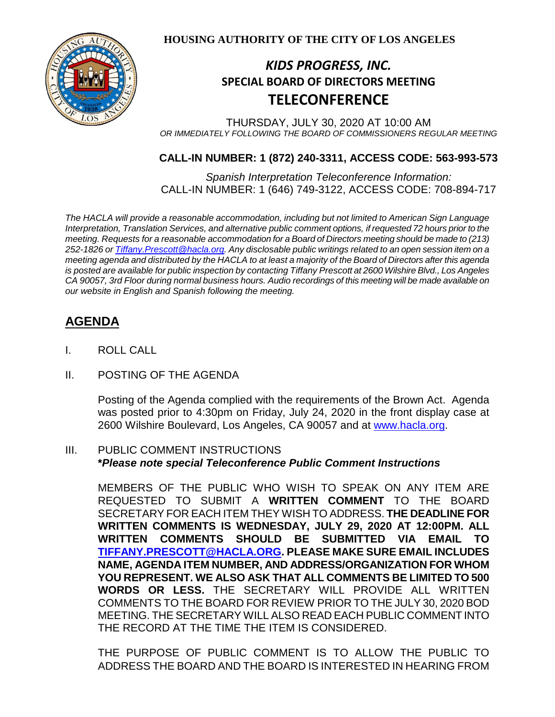

**HOUSING AUTHORITY OF THE CITY OF LOS ANGELES**

# *KIDS PROGRESS, INC.* **SPECIAL BOARD OF DIRECTORS MEETING TELECONFERENCE**

THURSDAY, JULY 30, 2020 AT 10:00 AM *OR IMMEDIATELY FOLLOWING THE BOARD OF COMMISSIONERS REGULAR MEETING*

### **CALL-IN NUMBER: 1 (872) 240-3311, ACCESS CODE: 563-993-573**

*Spanish Interpretation Teleconference Information:* CALL-IN NUMBER: 1 (646) 749-3122, ACCESS CODE: 708-894-717

*The HACLA will provide a reasonable accommodation, including but not limited to American Sign Language Interpretation, Translation Services, and alternative public comment options, if requested 72 hours prior to the meeting. Requests for a reasonable accommodation for a Board of Directors meeting should be made to (213) 252-1826 or Tiffany.Prescott@hacla.org. Any disclosable public writings related to an open session item on a meeting agenda and distributed by the HACLA to at least a majority of the Board of Directors after this agenda is posted are available for public inspection by contacting Tiffany Prescott at 2600 Wilshire Blvd., Los Angeles CA 90057, 3rd Floor during normal business hours. Audio recordings of this meeting will be made available on our website in English and Spanish following the meeting.*

## **AGENDA**

- I. ROLL CALL
- II. POSTING OF THE AGENDA

Posting of the Agenda complied with the requirements of the Brown Act. Agenda was posted prior to 4:30pm on Friday, July 24, 2020 in the front display case at 2600 Wilshire Boulevard, Los Angeles, CA 90057 and at [www.hacla.org.](http://www.hacla.org/)

### III. PUBLIC COMMENT INSTRUCTIONS **\****Please note special Teleconference Public Comment Instructions*

MEMBERS OF THE PUBLIC WHO WISH TO SPEAK ON ANY ITEM ARE REQUESTED TO SUBMIT A **WRITTEN COMMENT** TO THE BOARD SECRETARY FOR EACH ITEM THEY WISH TO ADDRESS. **THE DEADLINE FOR WRITTEN COMMENTS IS WEDNESDAY, JULY 29, 2020 AT 12:00PM. ALL WRITTEN COMMENTS SHOULD BE SUBMITTED VIA EMAIL TO [TIFFANY.PRESCOTT@HACLA.ORG.](mailto:TIFFANY.PRESCOTT@HACLA.ORG) PLEASE MAKE SURE EMAIL INCLUDES NAME, AGENDA ITEM NUMBER, AND ADDRESS/ORGANIZATION FOR WHOM YOU REPRESENT. WE ALSO ASK THAT ALL COMMENTS BE LIMITED TO 500 WORDS OR LESS.** THE SECRETARY WILL PROVIDE ALL WRITTEN COMMENTS TO THE BOARD FOR REVIEW PRIOR TO THE JULY 30, 2020 BOD MEETING. THE SECRETARY WILL ALSO READ EACH PUBLIC COMMENT INTO THE RECORD AT THE TIME THE ITEM IS CONSIDERED.

THE PURPOSE OF PUBLIC COMMENT IS TO ALLOW THE PUBLIC TO ADDRESS THE BOARD AND THE BOARD IS INTERESTED IN HEARING FROM